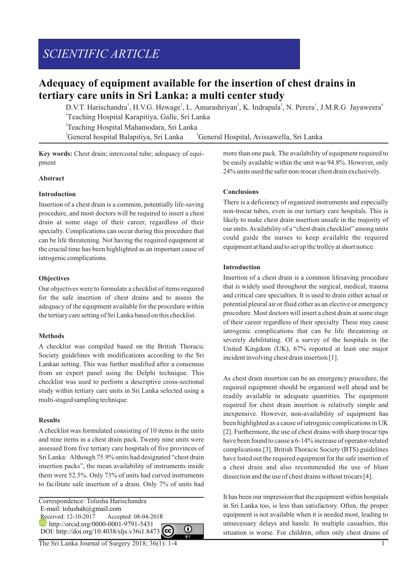# *SCIENTIFIC ARTICLE*

# **Adequacy of equipment available for the insertion of chest drains in tertiary care units in Sri Lanka: a multi center study**

D.V.T. Harischandra<sup>1</sup>, H.V.G. Hewage<sup>1</sup>, L. Amarashriyan<sup>2</sup>, K. Indrapala<sup>3</sup>, N. Perera<sup>1</sup>, J.M.R.G Jayaweera<sup>4</sup> 1 Teaching Hospital Karapitiya, Galle, Sri Lanka 2 Teaching Hospital Mahamodara, Sri Lanka

<sup>3</sup> General hospital Balapitiya, Sri Lanka <sup>4</sup> General Hospital, Avissawella, Sri Lanka

**Key words:** Chest drain; intercostal tube; adequacy of equipment

#### **Abstract**

#### **Introduction**

Insertion of a chest drain is a common, potentially life-saving procedure, and most doctors will be required to insert a chest drain at some stage of their career, regardless of their specialty. Complications can occur during this procedure that can be life threatening. Not having the required equipment at the crucial time has been highlighted as an important cause of iatrogenic complications.

#### **Objectives**

Our objectives were to formulate a checklist of items required for the safe insertion of chest drains and to assess the adequacy of the equipment available for the procedure within the tertiary care setting of Sri Lanka based on this checklist.

#### **Methods**

A checklist was compiled based on the British Thoracic Society guidelines with modifications according to the Sri Lankan setting. This was further modified after a consensus from an expert panel using the Delphi technique. This checklist was used to perform a descriptive cross-sectional study within tertiary care units in Sri Lanka selected using a multi-staged sampling technique.

#### **Results**

Achecklist was formulated consisting of 10 items in the units and nine items in a chest drain pack. Twenty nine units were assessed from five tertiary care hospitals of five provinces of Sri Lanka: Although 75.9% units had designated "chest drain insertion packs", the mean availability of instruments inside them were 52.5%. Only 73% of units had curved instruments to facilitate safe insertion of a drain. Only 7% of units had

Correspondence: Tolusha Harischandra E-mail: tolushah@gmail.com Received: 12-10-2017 Accepted: 08-04-2018 http://orcid.org/0000-0001-9791-5431 DOI: http://doi.org/10.4038/sljs.v36i1.8473

⋒

more than one pack. The availability of equipment required to be easily available within the unit was 94.8%. However, only 24% units used the safer non-trocar chest drain exclusively.

#### **Conclusions**

There is a deficiency of organized instruments and especially non-trocar tubes, even in our tertiary care hospitals. This is likely to make chest drain insertion unsafe in the majority of our units. Availability of a "chest drain checklist" among units could guide the nurses to keep available the required equipment at hand and to set up the trolley at short notice.

#### **Introduction**

Insertion of a chest drain is a common lifesaving procedure that is widely used throughout the surgical, medical, trauma and critical care specialties. It is used to drain either actual or potential pleural air or fluid either as an elective or emergency procedure. Most doctors will insert a chest drain at some stage of their career regardless of their specialty. These may cause iatrogenic complications that can be life threatening or severely debilitating. Of a survey of the hospitals in the United Kingdom (UK), 67% reported at least one major incident involving chest drain insertion [1].

As chest drain insertion can be an emergency procedure, the required equipment should be organized well ahead and be readily available in adequate quantities. The equipment required for chest drain insertion is relatively simple and inexpensive. However, non-availability of equipment has been highlighted as a cause of iatrogenic complications in UK [2]. Furthermore, the use of chest drains with sharp trocar tips have been found to cause a 6-14% increase of operator-related complications [3]. British Thoracic Society (BTS) guidelines have listed out the required equipment for the safe insertion of a chest drain and also recommended the use of blunt dissection and the use of chest drains without trocars [4].

It has been our impression that the equipment within hospitals in Sri Lanka too, is less than satisfactory. Often, the proper equipment is not available when it is needed most, leading to unnecessary delays and hassle. In multiple casualties, this situation is worse. For children, often only chest drains of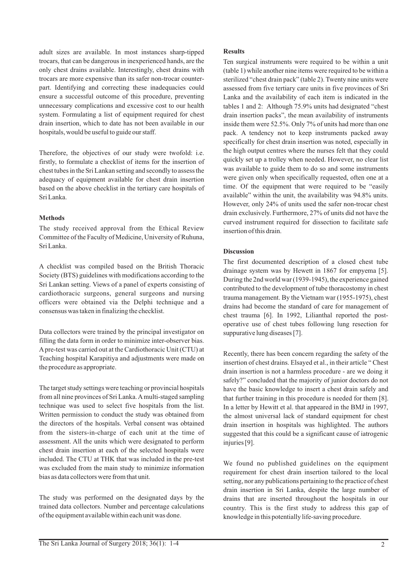adult sizes are available. In most instances sharp-tipped trocars, that can be dangerous in inexperienced hands, are the only chest drains available. Interestingly, chest drains with trocars are more expensive than its safer non-trocar counterpart. Identifying and correcting these inadequacies could ensure a successful outcome of this procedure, preventing unnecessary complications and excessive cost to our health system. Formulating a list of equipment required for chest drain insertion, which to date has not been available in our hospitals, would be useful to guide our staff.

Therefore, the objectives of our study were twofold: i.e. firstly, to formulate a checklist of items for the insertion of chest tubes in the Sri Lankan setting and secondly to assess the adequacy of equipment available for chest drain insertion based on the above checklist in the tertiary care hospitals of Sri Lanka.

#### **Methods**

The study received approval from the Ethical Review Committee of the Faculty of Medicine, University of Ruhuna, Sri Lanka.

A checklist was compiled based on the British Thoracic Society (BTS) guidelines with modifications according to the Sri Lankan setting. Views of a panel of experts consisting of cardiothoracic surgeons, general surgeons and nursing officers were obtained via the Delphi technique and a consensus was taken in finalizing the checklist.

Data collectors were trained by the principal investigator on filling the data form in order to minimize inter-observer bias. Apre-test was carried out at the Cardiothoracic Unit (CTU) at Teaching hospital Karapitiya and adjustments were made on the procedure as appropriate.

The target study settings were teaching or provincial hospitals from all nine provinces of Sri Lanka. Amulti-staged sampling technique was used to select five hospitals from the list. Written permission to conduct the study was obtained from the directors of the hospitals. Verbal consent was obtained from the sisters-in-charge of each unit at the time of assessment. All the units which were designated to perform chest drain insertion at each of the selected hospitals were included. The CTU at THK that was included in the pre-test was excluded from the main study to minimize information bias as data collectors were from that unit.

The study was performed on the designated days by the trained data collectors. Number and percentage calculations of the equipment available within each unit was done.

### **Results**

Ten surgical instruments were required to be within a unit (table 1) while another nine items were required to be within a sterilized "chest drain pack" (table 2). Twenty nine units were assessed from five tertiary care units in five provinces of Sri Lanka and the availability of each item is indicated in the tables 1 and 2: Although 75.9% units had designated "chest drain insertion packs", the mean availability of instruments inside them were 52.5%. Only 7% of units had more than one pack. A tendency not to keep instruments packed away specifically for chest drain insertion was noted, especially in the high output centres where the nurses felt that they could quickly set up a trolley when needed. However, no clear list was available to guide them to do so and some instruments were given only when specifically requested, often one at a time. Of the equipment that were required to be "easily available" within the unit, the availability was 94.8% units. However, only 24% of units used the safer non-trocar chest drain exclusively. Furthermore, 27% of units did not have the curved instrument required for dissection to facilitate safe insertion of this drain.

## **Discussion**

The first documented description of a closed chest tube drainage system was by Hewett in 1867 for empyema [5]. During the 2nd world war (1939-1945), the experience gained contributed to the development of tube thoracostomy in chest trauma management. By the Vietnam war (1955-1975), chest drains had become the standard of care for management of chest trauma [6]. In 1992, Lilianthal reported the postoperative use of chest tubes following lung resection for suppurative lung diseases [7].

Recently, there has been concern regarding the safety of the insertion of chest drains. Elsayed et al., in their article " Chest drain insertion is not a harmless procedure - are we doing it safely?" concluded that the majority of junior doctors do not have the basic knowledge to insert a chest drain safely and that further training in this procedure is needed for them [8]. In a letter by Hewitt et al. that appeared in the BMJ in 1997, the almost universal lack of standard equipment for chest drain insertion in hospitals was highlighted. The authors suggested that this could be a significant cause of iatrogenic injuries [9].

We found no published guidelines on the equipment requirement for chest drain insertion tailored to the local setting, nor any publications pertaining to the practice of chest drain insertion in Sri Lanka, despite the large number of drains that are inserted throughout the hospitals in our country. This is the first study to address this gap of knowledge in this potentially life-saving procedure.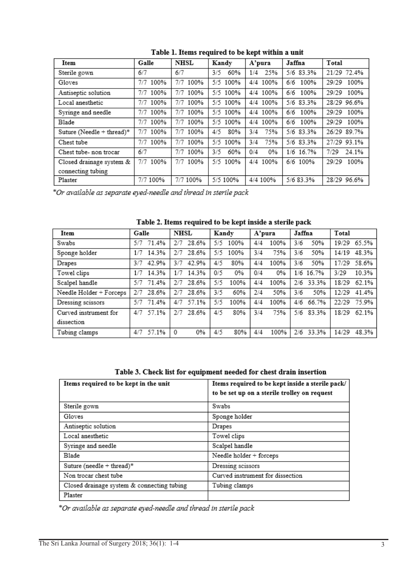| Item                      | Galle       | <b>NHSL</b> | Kandy      | A'pura     | Jaffna      | Total         |
|---------------------------|-------------|-------------|------------|------------|-------------|---------------|
| Sterile gown              | 6/7         | 6/7         | 60%<br>3/5 | 1/4 25%    | 5/6 83.3%   | 21/29 72.4%   |
| Gloves                    | 100%<br>7/7 | 7/7<br>100% | 5/5 100%   | 4/4 100%   | 6/6<br>100% | 29/29<br>100% |
| Antiseptic solution       | 7/7 100%    | 7/7<br>100% | 5/5 100%   | 4/4 100%   | 100%<br>6/6 | 29/29<br>100% |
| Local anesthetic          | 7/7 100%    | 7/7<br>100% | 5/5 100%   | 4/4 100%   | 5/6 83.3%   | 28/29 96.6%   |
| Syringe and needle        | 100%<br>7/7 | 100%<br>7/7 | 5/5 100%   | 4/4 100%   | 100%<br>6/6 | 29/29<br>100% |
| <b>Blade</b>              | 7/7 100%    | 7/7 100%    | 5/5 100%   | 4/4 100%   | 6/6 100%    | 100%<br>29/29 |
| Suture (Needle + thread)* | 100%<br>7/7 | 7/7<br>100% | 80%<br>4/5 | 75%<br>3/4 | 5/6 83.3%   | 26/29 89.7%   |
| Chest tube                | 7/7<br>100% | 7/7<br>100% | 5/5 100%   | 75%<br>3/4 | 5/6 83.3%   | 27/29 93.1%   |
| Chest tube- non trocar    | 6/7         | 7/7 100%    | 3/5<br>60% | 0%<br>0/4  | 1/6 16.7%   | 7/29<br>24.1% |
| Closed drainage system &  | 7/7<br>100% | 7/7<br>100% | 5/5 100%   | 4/4 100%   | 6/6 100%    | 29/29<br>100% |
| connecting tubing         |             |             |            |            |             |               |
| Plaster                   | 7/7 100%    | 7/7 100%    | 5/5 100%   | 4/4 100%   | 5/6 83.3%   | 28/29 96.6%   |

Table 1. Items required to be kept within a unit

\*Or available as separate eyed-needle and thread in sterile pack

| Item                    | Galle        | <b>NHSL</b>  | Kandy     | A'pura    | Jaffna    | Total         |
|-------------------------|--------------|--------------|-----------|-----------|-----------|---------------|
| Swabs                   | 71.4%        | 28.6%        | 100%      | 100%      | 50%       | 65.5%         |
|                         | 5/7          | 2/7          | 5/5       | 4/4       | 3/6       | 19/29         |
| Sponge holder           | 14.3%        | 28.6%        | 5/5       | 75%       | 3/6       | 48.3%         |
|                         | 1/7          | 2/7          | 100%      | 3/4       | 50%       | 14/19         |
| Drapes                  | 42.9%        | 3/7          | 80%       | 100%      | 50%       | 17/29         |
|                         | 3/7          | 42.9%        | 4/5       | 4/4       | 3/6       | 58.6%         |
| Towel clips             | 14.3%<br>1/7 | 14.3%<br>1/7 | 0/5<br>0% | 0%<br>0/4 | 1/6 16.7% | 10.3%<br>3/29 |
| Scalpel handle          | 71.4%        | 28.6%        | 5/5       | 4/4       | 33.3%     | 62.1%         |
|                         | 5/7          | 2/7          | 100%      | 100%      | 2/6       | 18/29         |
| Needle Holder + Forceps | 28.6%        | 28.6%        | 3/5       | 50%       | 3/6       | 41.4%         |
|                         | 2/7          | 2/7          | 60%       | 2/4       | 50%       | 12/29         |
| Dressing scissors       | 71.4%        | 57.1%        | 5/5       | 100%      | 66.7%     | 75.9%         |
|                         | 5/7          | 4/7          | 100%      | 4/4       | 4/6       | 22/29         |
| Curved instrument for   | 57.1%        | 28.6%        | 4/5       | 75%       | 83.3%     | 62.1%         |
|                         | 4/7          | 2/7          | 80%       | 3/4       | 5/6       | 18/29         |
| dissection              |              |              |           |           |           |               |
| Tubing clamps           | 57.1%        | 0%           | 4/5       | 100%      | 33.3%     | 48.3%         |
|                         | 4/7          | $^{\circ}$   | 80%       | 4/4       | 2/6       | 14/29         |

Table 2. Items required to be kept inside a sterile pack

|  | Table 3. Check list for equipment needed for chest drain insertion |  |  |
|--|--------------------------------------------------------------------|--|--|
|  |                                                                    |  |  |

| Items required to be kept in the unit      | Items required to be kept inside a sterile pack/<br>to be set up on a sterile trolley on request |
|--------------------------------------------|--------------------------------------------------------------------------------------------------|
| Sterile gown                               | Swabs                                                                                            |
| Gloves                                     | Sponge holder                                                                                    |
| Antiseptic solution                        | Drapes                                                                                           |
| Local anesthetic                           | Towel clips                                                                                      |
| Syringe and needle                         | Scalpel handle                                                                                   |
| Blade                                      | Needle holder $+$ forceps                                                                        |
| Suture (needle + thread)*                  | Dressing scissors                                                                                |
| Non trocar chest tube                      | Curved instrument for dissection                                                                 |
| Closed drainage system & connecting tubing | Tubing clamps                                                                                    |
| Plaster                                    |                                                                                                  |

\*Or available as separate eyed-needle and thread in sterile pack